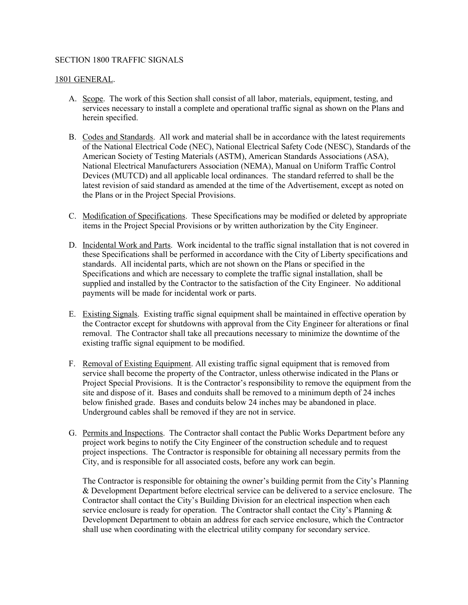## SECTION 1800 TRAFFIC SIGNALS

## 1801 GENERAL.

- A. Scope. The work of this Section shall consist of all labor, materials, equipment, testing, and services necessary to install a complete and operational traffic signal as shown on the Plans and herein specified.
- B. Codes and Standards. All work and material shall be in accordance with the latest requirements of the National Electrical Code (NEC), National Electrical Safety Code (NESC), Standards of the American Society of Testing Materials (ASTM), American Standards Associations (ASA), National Electrical Manufacturers Association (NEMA), Manual on Uniform Traffic Control Devices (MUTCD) and all applicable local ordinances. The standard referred to shall be the latest revision of said standard as amended at the time of the Advertisement, except as noted on the Plans or in the Project Special Provisions.
- C. Modification of Specifications. These Specifications may be modified or deleted by appropriate items in the Project Special Provisions or by written authorization by the City Engineer.
- D. Incidental Work and Parts. Work incidental to the traffic signal installation that is not covered in these Specifications shall be performed in accordance with the City of Liberty specifications and standards. All incidental parts, which are not shown on the Plans or specified in the Specifications and which are necessary to complete the traffic signal installation, shall be supplied and installed by the Contractor to the satisfaction of the City Engineer. No additional payments will be made for incidental work or parts.
- E. Existing Signals. Existing traffic signal equipment shall be maintained in effective operation by the Contractor except for shutdowns with approval from the City Engineer for alterations or final removal. The Contractor shall take all precautions necessary to minimize the downtime of the existing traffic signal equipment to be modified.
- F. Removal of Existing Equipment. All existing traffic signal equipment that is removed from service shall become the property of the Contractor, unless otherwise indicated in the Plans or Project Special Provisions. It is the Contractor's responsibility to remove the equipment from the site and dispose of it. Bases and conduits shall be removed to a minimum depth of 24 inches below finished grade. Bases and conduits below 24 inches may be abandoned in place. Underground cables shall be removed if they are not in service.
- G. Permits and Inspections. The Contractor shall contact the Public Works Department before any project work begins to notify the City Engineer of the construction schedule and to request project inspections. The Contractor is responsible for obtaining all necessary permits from the City, and is responsible for all associated costs, before any work can begin.

The Contractor is responsible for obtaining the owner's building permit from the City's Planning & Development Department before electrical service can be delivered to a service enclosure. The Contractor shall contact the City's Building Division for an electrical inspection when each service enclosure is ready for operation. The Contractor shall contact the City's Planning  $\&$ Development Department to obtain an address for each service enclosure, which the Contractor shall use when coordinating with the electrical utility company for secondary service.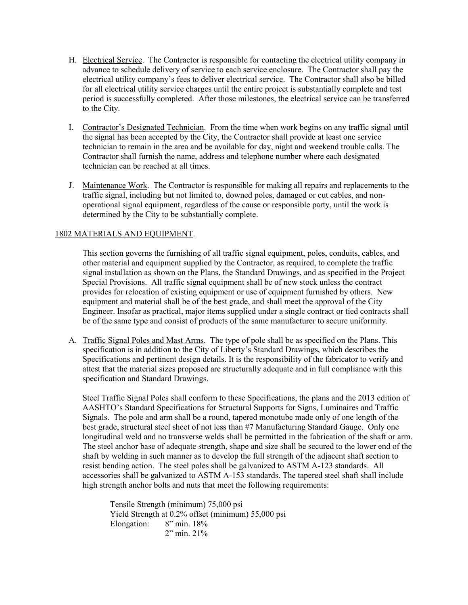- H. Electrical Service. The Contractor is responsible for contacting the electrical utility company in advance to schedule delivery of service to each service enclosure. The Contractor shall pay the electrical utility company's fees to deliver electrical service. The Contractor shall also be billed for all electrical utility service charges until the entire project is substantially complete and test period is successfully completed. After those milestones, the electrical service can be transferred to the City.
- I. Contractor's Designated Technician. From the time when work begins on any traffic signal until the signal has been accepted by the City, the Contractor shall provide at least one service technician to remain in the area and be available for day, night and weekend trouble calls. The Contractor shall furnish the name, address and telephone number where each designated technician can be reached at all times.
- J. Maintenance Work. The Contractor is responsible for making all repairs and replacements to the traffic signal, including but not limited to, downed poles, damaged or cut cables, and nonoperational signal equipment, regardless of the cause or responsible party, until the work is determined by the City to be substantially complete.

## 1802 MATERIALS AND EQUIPMENT.

This section governs the furnishing of all traffic signal equipment, poles, conduits, cables, and other material and equipment supplied by the Contractor, as required, to complete the traffic signal installation as shown on the Plans, the Standard Drawings, and as specified in the Project Special Provisions. All traffic signal equipment shall be of new stock unless the contract provides for relocation of existing equipment or use of equipment furnished by others. New equipment and material shall be of the best grade, and shall meet the approval of the City Engineer. Insofar as practical, major items supplied under a single contract or tied contracts shall be of the same type and consist of products of the same manufacturer to secure uniformity.

A. Traffic Signal Poles and Mast Arms. The type of pole shall be as specified on the Plans. This specification is in addition to the City of Liberty's Standard Drawings, which describes the Specifications and pertinent design details. It is the responsibility of the fabricator to verify and attest that the material sizes proposed are structurally adequate and in full compliance with this specification and Standard Drawings.

Steel Traffic Signal Poles shall conform to these Specifications, the plans and the 2013 edition of AASHTO's Standard Specifications for Structural Supports for Signs, Luminaires and Traffic Signals. The pole and arm shall be a round, tapered monotube made only of one length of the best grade, structural steel sheet of not less than #7 Manufacturing Standard Gauge. Only one longitudinal weld and no transverse welds shall be permitted in the fabrication of the shaft or arm. The steel anchor base of adequate strength, shape and size shall be secured to the lower end of the shaft by welding in such manner as to develop the full strength of the adjacent shaft section to resist bending action. The steel poles shall be galvanized to ASTM A-123 standards. All accessories shall be galvanized to ASTM A-153 standards. The tapered steel shaft shall include high strength anchor bolts and nuts that meet the following requirements:

Tensile Strength (minimum) 75,000 psi Yield Strength at 0.2% offset (minimum) 55,000 psi Elongation: 8" min. 18% 2" min. 21%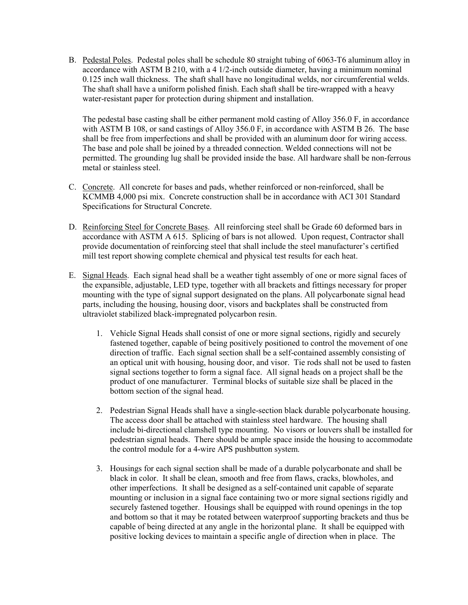B. Pedestal Poles. Pedestal poles shall be schedule 80 straight tubing of 6063-T6 aluminum alloy in accordance with ASTM B 210, with a 4 1/2-inch outside diameter, having a minimum nominal 0.125 inch wall thickness. The shaft shall have no longitudinal welds, nor circumferential welds. The shaft shall have a uniform polished finish. Each shaft shall be tire-wrapped with a heavy water-resistant paper for protection during shipment and installation.

The pedestal base casting shall be either permanent mold casting of Alloy 356.0 F, in accordance with ASTM B 108, or sand castings of Alloy 356.0 F, in accordance with ASTM B 26. The base shall be free from imperfections and shall be provided with an aluminum door for wiring access. The base and pole shall be joined by a threaded connection. Welded connections will not be permitted. The grounding lug shall be provided inside the base. All hardware shall be non-ferrous metal or stainless steel.

- C. Concrete. All concrete for bases and pads, whether reinforced or non-reinforced, shall be KCMMB 4,000 psi mix. Concrete construction shall be in accordance with ACI 301 Standard Specifications for Structural Concrete.
- D. Reinforcing Steel for Concrete Bases. All reinforcing steel shall be Grade 60 deformed bars in accordance with ASTM A 615. Splicing of bars is not allowed. Upon request, Contractor shall provide documentation of reinforcing steel that shall include the steel manufacturer's certified mill test report showing complete chemical and physical test results for each heat.
- E. Signal Heads. Each signal head shall be a weather tight assembly of one or more signal faces of the expansible, adjustable, LED type, together with all brackets and fittings necessary for proper mounting with the type of signal support designated on the plans. All polycarbonate signal head parts, including the housing, housing door, visors and backplates shall be constructed from ultraviolet stabilized black-impregnated polycarbon resin.
	- 1. Vehicle Signal Heads shall consist of one or more signal sections, rigidly and securely fastened together, capable of being positively positioned to control the movement of one direction of traffic. Each signal section shall be a self-contained assembly consisting of an optical unit with housing, housing door, and visor. Tie rods shall not be used to fasten signal sections together to form a signal face. All signal heads on a project shall be the product of one manufacturer. Terminal blocks of suitable size shall be placed in the bottom section of the signal head.
	- 2. Pedestrian Signal Heads shall have a single-section black durable polycarbonate housing. The access door shall be attached with stainless steel hardware. The housing shall include bi-directional clamshell type mounting. No visors or louvers shall be installed for pedestrian signal heads. There should be ample space inside the housing to accommodate the control module for a 4-wire APS pushbutton system.
	- 3. Housings for each signal section shall be made of a durable polycarbonate and shall be black in color. It shall be clean, smooth and free from flaws, cracks, blowholes, and other imperfections. It shall be designed as a self-contained unit capable of separate mounting or inclusion in a signal face containing two or more signal sections rigidly and securely fastened together. Housings shall be equipped with round openings in the top and bottom so that it may be rotated between waterproof supporting brackets and thus be capable of being directed at any angle in the horizontal plane. It shall be equipped with positive locking devices to maintain a specific angle of direction when in place. The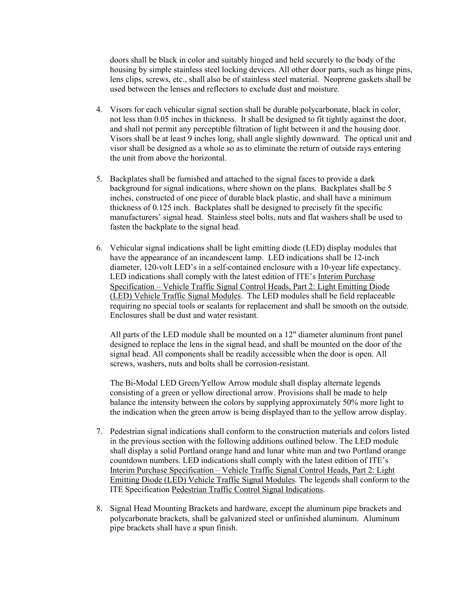doors shall be black in color and suitably hinged and held securely to the body of the housing by simple stainless steel locking devices. All other door parts, such as hinge pins, lens clips, screws, etc., shall also be of stainless steel material. Neoprene gaskets shall be used between the lenses and reflectors to exclude dust and moisture.

- 4. Visors for each vehicular signal section shall be durable polycarbonate, black in color, not less than 0.05 inches in thickness. It shall be designed to fit tightly against the door, and shall not permit any perceptible filtration of light between it and the housing door. Visors shall be at least 9 inches long, shall angle slightly downward. The optical unit and visor shall be designed as a whole so as to eliminate the return of outside rays entering the unit from above the horizontal.
- 5. Backplates shall be furnished and attached to the signal faces to provide a dark background for signal indications, where shown on the plans. Backplates shall be 5 inches, constructed of one piece of durable black plastic, and shall have a minimum thickness of 0.125 inch. Backplates shall be designed to precisely fit the specific manufacturers' signal head. Stainless steel bolts, nuts and flat washers shall be used to fasten the backplate to the signal head.
- 6. Vehicular signal indications shall be light emitting diode (LED) display modules that have the appearance of an incandescent lamp. LED indications shall be 12-inch diameter, 120-volt LED's in a self-contained enclosure with a 10-year life expectancy. LED indications shall comply with the latest edition of ITE's Interim Purchase Specification – Vehicle Traffic Signal Control Heads, Part 2: Light Emitting Diode (LED) Vehicle Traffic Signal Modules. The LED modules shall be field replaceable requiring no special tools or sealants for replacement and shall be smooth on the outside. Enclosures shall be dust and water resistant.

All parts of the LED module shall be mounted on a 12" diameter aluminum front panel designed to replace the lens in the signal head, and shall be mounted on the door of the signal head. All components shall be readily accessible when the door is open. All screws, washers, nuts and bolts shall be corrosion-resistant.

The Bi-Modal LED Green/Yellow Arrow module shall display alternate legends consisting of a green or yellow directional arrow. Provisions shall be made to help balance the intensity between the colors by supplying approximately 50% more light to the indication when the green arrow is being displayed than to the yellow arrow display.

- 7. Pedestrian signal indications shall conform to the construction materials and colors listed in the previous section with the following additions outlined below. The LED module shall display a solid Portland orange hand and lunar white man and two Portland orange countdown numbers. LED indications shall comply with the latest edition of ITE's Interim Purchase Specification – Vehicle Traffic Signal Control Heads, Part 2: Light Emitting Diode (LED) Vehicle Traffic Signal Modules. The legends shall conform to the ITE Specification Pedestrian Traffic Control Signal Indications.
- 8. Signal Head Mounting Brackets and hardware, except the aluminum pipe brackets and polycarbonate brackets, shall be galvanized steel or unfinished aluminum. Aluminum pipe brackets shall have a spun finish.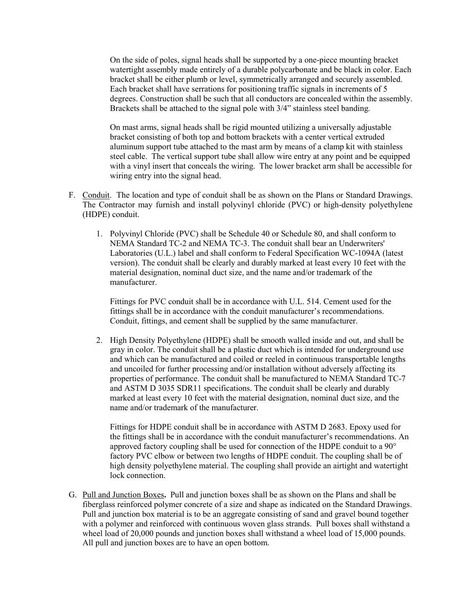On the side of poles, signal heads shall be supported by a one-piece mounting bracket watertight assembly made entirely of a durable polycarbonate and be black in color. Each bracket shall be either plumb or level, symmetrically arranged and securely assembled. Each bracket shall have serrations for positioning traffic signals in increments of 5 degrees. Construction shall be such that all conductors are concealed within the assembly. Brackets shall be attached to the signal pole with 3/4" stainless steel banding.

On mast arms, signal heads shall be rigid mounted utilizing a universally adjustable bracket consisting of both top and bottom brackets with a center vertical extruded aluminum support tube attached to the mast arm by means of a clamp kit with stainless steel cable. The vertical support tube shall allow wire entry at any point and be equipped with a vinyl insert that conceals the wiring. The lower bracket arm shall be accessible for wiring entry into the signal head.

- F. Conduit. The location and type of conduit shall be as shown on the Plans or Standard Drawings. The Contractor may furnish and install polyvinyl chloride (PVC) or high-density polyethylene (HDPE) conduit.
	- 1. Polyvinyl Chloride (PVC) shall be Schedule 40 or Schedule 80, and shall conform to NEMA Standard TC-2 and NEMA TC-3. The conduit shall bear an Underwriters' Laboratories (U.L.) label and shall conform to Federal Specification WC-1094A (latest version). The conduit shall be clearly and durably marked at least every 10 feet with the material designation, nominal duct size, and the name and/or trademark of the manufacturer.

Fittings for PVC conduit shall be in accordance with U.L. 514. Cement used for the fittings shall be in accordance with the conduit manufacturer's recommendations. Conduit, fittings, and cement shall be supplied by the same manufacturer.

2. High Density Polyethylene (HDPE) shall be smooth walled inside and out, and shall be gray in color. The conduit shall be a plastic duct which is intended for underground use and which can be manufactured and coiled or reeled in continuous transportable lengths and uncoiled for further processing and/or installation without adversely affecting its properties of performance. The conduit shall be manufactured to NEMA Standard TC-7 and ASTM D 3035 SDR11 specifications. The conduit shall be clearly and durably marked at least every 10 feet with the material designation, nominal duct size, and the name and/or trademark of the manufacturer.

Fittings for HDPE conduit shall be in accordance with ASTM D 2683. Epoxy used for the fittings shall be in accordance with the conduit manufacturer's recommendations. An approved factory coupling shall be used for connection of the HDPE conduit to a 90° factory PVC elbow or between two lengths of HDPE conduit. The coupling shall be of high density polyethylene material. The coupling shall provide an airtight and watertight lock connection.

G. Pull and Junction Boxes**.** Pull and junction boxes shall be as shown on the Plans and shall be fiberglass reinforced polymer concrete of a size and shape as indicated on the Standard Drawings. Pull and junction box material is to be an aggregate consisting of sand and gravel bound together with a polymer and reinforced with continuous woven glass strands. Pull boxes shall withstand a wheel load of 20,000 pounds and junction boxes shall withstand a wheel load of 15,000 pounds. All pull and junction boxes are to have an open bottom.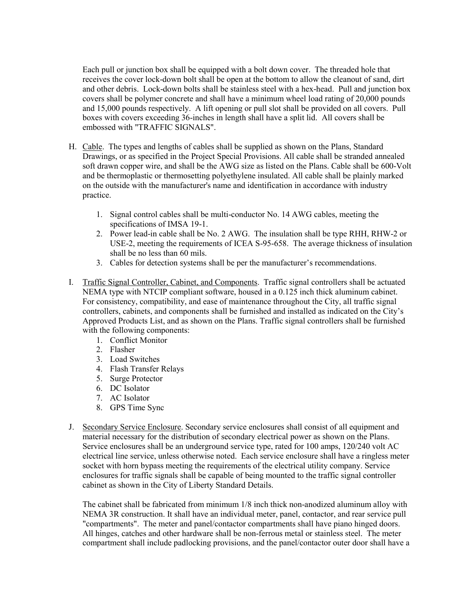Each pull or junction box shall be equipped with a bolt down cover. The threaded hole that receives the cover lock-down bolt shall be open at the bottom to allow the cleanout of sand, dirt and other debris. Lock-down bolts shall be stainless steel with a hex-head. Pull and junction box covers shall be polymer concrete and shall have a minimum wheel load rating of 20,000 pounds and 15,000 pounds respectively. A lift opening or pull slot shall be provided on all covers. Pull boxes with covers exceeding 36-inches in length shall have a split lid. All covers shall be embossed with "TRAFFIC SIGNALS".

- H. Cable. The types and lengths of cables shall be supplied as shown on the Plans, Standard Drawings, or as specified in the Project Special Provisions. All cable shall be stranded annealed soft drawn copper wire, and shall be the AWG size as listed on the Plans. Cable shall be 600-Volt and be thermoplastic or thermosetting polyethylene insulated. All cable shall be plainly marked on the outside with the manufacturer's name and identification in accordance with industry practice.
	- 1. Signal control cables shall be multi-conductor No. 14 AWG cables, meeting the specifications of IMSA 19-1.
	- 2. Power lead-in cable shall be No. 2 AWG. The insulation shall be type RHH, RHW-2 or USE-2, meeting the requirements of ICEA S-95-658. The average thickness of insulation shall be no less than 60 mils.
	- 3. Cables for detection systems shall be per the manufacturer's recommendations.
- I. Traffic Signal Controller, Cabinet, and Components. Traffic signal controllers shall be actuated NEMA type with NTCIP compliant software, housed in a 0.125 inch thick aluminum cabinet. For consistency, compatibility, and ease of maintenance throughout the City, all traffic signal controllers, cabinets, and components shall be furnished and installed as indicated on the City's Approved Products List, and as shown on the Plans. Traffic signal controllers shall be furnished with the following components:
	- 1. Conflict Monitor
	- 2. Flasher
	- 3. Load Switches
	- 4. Flash Transfer Relays
	- 5. Surge Protector
	- 6. DC Isolator
	- 7. AC Isolator
	- 8. GPS Time Sync
- J. Secondary Service Enclosure. Secondary service enclosures shall consist of all equipment and material necessary for the distribution of secondary electrical power as shown on the Plans. Service enclosures shall be an underground service type, rated for 100 amps, 120/240 volt AC electrical line service, unless otherwise noted. Each service enclosure shall have a ringless meter socket with horn bypass meeting the requirements of the electrical utility company. Service enclosures for traffic signals shall be capable of being mounted to the traffic signal controller cabinet as shown in the City of Liberty Standard Details.

The cabinet shall be fabricated from minimum 1/8 inch thick non-anodized aluminum alloy with NEMA 3R construction. It shall have an individual meter, panel, contactor, and rear service pull "compartments". The meter and panel/contactor compartments shall have piano hinged doors. All hinges, catches and other hardware shall be non-ferrous metal or stainless steel. The meter compartment shall include padlocking provisions, and the panel/contactor outer door shall have a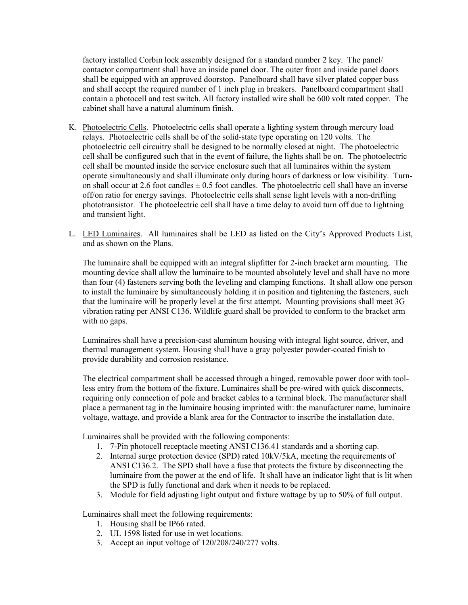factory installed Corbin lock assembly designed for a standard number 2 key. The panel/ contactor compartment shall have an inside panel door. The outer front and inside panel doors shall be equipped with an approved doorstop. Panelboard shall have silver plated copper buss and shall accept the required number of 1 inch plug in breakers. Panelboard compartment shall contain a photocell and test switch. All factory installed wire shall be 600 volt rated copper. The cabinet shall have a natural aluminum finish.

- K. Photoelectric Cells. Photoelectric cells shall operate a lighting system through mercury load relays. Photoelectric cells shall be of the solid-state type operating on 120 volts. The photoelectric cell circuitry shall be designed to be normally closed at night. The photoelectric cell shall be configured such that in the event of failure, the lights shall be on. The photoelectric cell shall be mounted inside the service enclosure such that all luminaires within the system operate simultaneously and shall illuminate only during hours of darkness or low visibility. Turnon shall occur at 2.6 foot candles  $\pm$  0.5 foot candles. The photoelectric cell shall have an inverse off/on ratio for energy savings. Photoelectric cells shall sense light levels with a non-drifting phototransistor. The photoelectric cell shall have a time delay to avoid turn off due to lightning and transient light.
- L. LED Luminaires. All luminaires shall be LED as listed on the City's Approved Products List, and as shown on the Plans.

The luminaire shall be equipped with an integral slipfitter for 2-inch bracket arm mounting. The mounting device shall allow the luminaire to be mounted absolutely level and shall have no more than four (4) fasteners serving both the leveling and clamping functions. It shall allow one person to install the luminaire by simultaneously holding it in position and tightening the fasteners, such that the luminaire will be properly level at the first attempt. Mounting provisions shall meet 3G vibration rating per ANSI C136. Wildlife guard shall be provided to conform to the bracket arm with no gaps.

Luminaires shall have a precision-cast aluminum housing with integral light source, driver, and thermal management system. Housing shall have a gray polyester powder-coated finish to provide durability and corrosion resistance.

The electrical compartment shall be accessed through a hinged, removable power door with toolless entry from the bottom of the fixture. Luminaires shall be pre-wired with quick disconnects, requiring only connection of pole and bracket cables to a terminal block. The manufacturer shall place a permanent tag in the luminaire housing imprinted with: the manufacturer name, luminaire voltage, wattage, and provide a blank area for the Contractor to inscribe the installation date.

Luminaires shall be provided with the following components:

- 1. 7-Pin photocell receptacle meeting ANSI C136.41 standards and a shorting cap.
- 2. Internal surge protection device (SPD) rated 10kV/5kA, meeting the requirements of ANSI C136.2. The SPD shall have a fuse that protects the fixture by disconnecting the luminaire from the power at the end of life. It shall have an indicator light that is lit when the SPD is fully functional and dark when it needs to be replaced.
- 3. Module for field adjusting light output and fixture wattage by up to 50% of full output.

Luminaires shall meet the following requirements:

- 1. Housing shall be IP66 rated.
- 2. UL 1598 listed for use in wet locations.
- 3. Accept an input voltage of 120/208/240/277 volts.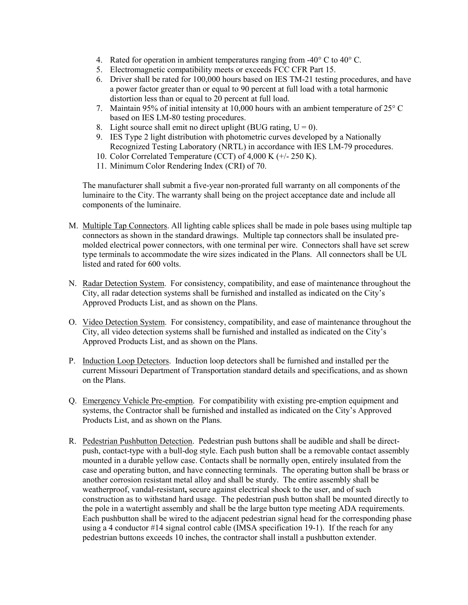- 4. Rated for operation in ambient temperatures ranging from  $-40^{\circ}$  C to  $40^{\circ}$  C.
- 5. Electromagnetic compatibility meets or exceeds FCC CFR Part 15.
- 6. Driver shall be rated for 100,000 hours based on IES TM-21 testing procedures, and have a power factor greater than or equal to 90 percent at full load with a total harmonic distortion less than or equal to 20 percent at full load.
- 7. Maintain 95% of initial intensity at 10,000 hours with an ambient temperature of  $25^{\circ}$  C based on IES LM-80 testing procedures.
- 8. Light source shall emit no direct uplight (BUG rating,  $U = 0$ ).
- 9. IES Type 2 light distribution with photometric curves developed by a Nationally Recognized Testing Laboratory (NRTL) in accordance with IES LM-79 procedures.
- 10. Color Correlated Temperature (CCT) of 4,000 K (+/- 250 K).
- 11. Minimum Color Rendering Index (CRI) of 70.

The manufacturer shall submit a five-year non-prorated full warranty on all components of the luminaire to the City. The warranty shall being on the project acceptance date and include all components of the luminaire.

- M. Multiple Tap Connectors. All lighting cable splices shall be made in pole bases using multiple tap connectors as shown in the standard drawings. Multiple tap connectors shall be insulated premolded electrical power connectors, with one terminal per wire. Connectors shall have set screw type terminals to accommodate the wire sizes indicated in the Plans. All connectors shall be UL listed and rated for 600 volts.
- N. Radar Detection System. For consistency, compatibility, and ease of maintenance throughout the City, all radar detection systems shall be furnished and installed as indicated on the City's Approved Products List, and as shown on the Plans.
- O. Video Detection System. For consistency, compatibility, and ease of maintenance throughout the City, all video detection systems shall be furnished and installed as indicated on the City's Approved Products List, and as shown on the Plans.
- P. Induction Loop Detectors. Induction loop detectors shall be furnished and installed per the current Missouri Department of Transportation standard details and specifications, and as shown on the Plans.
- Q. Emergency Vehicle Pre-emption. For compatibility with existing pre-emption equipment and systems, the Contractor shall be furnished and installed as indicated on the City's Approved Products List, and as shown on the Plans.
- R. Pedestrian Pushbutton Detection. Pedestrian push buttons shall be audible and shall be directpush, contact-type with a bull-dog style. Each push button shall be a removable contact assembly mounted in a durable yellow case. Contacts shall be normally open, entirely insulated from the case and operating button, and have connecting terminals. The operating button shall be brass or another corrosion resistant metal alloy and shall be sturdy. The entire assembly shall be weatherproof, vandal-resistant**,** secure against electrical shock to the user, and of such construction as to withstand hard usage. The pedestrian push button shall be mounted directly to the pole in a watertight assembly and shall be the large button type meeting ADA requirements. Each pushbutton shall be wired to the adjacent pedestrian signal head for the corresponding phase using a 4 conductor #14 signal control cable (IMSA specification 19-1). If the reach for any pedestrian buttons exceeds 10 inches, the contractor shall install a pushbutton extender.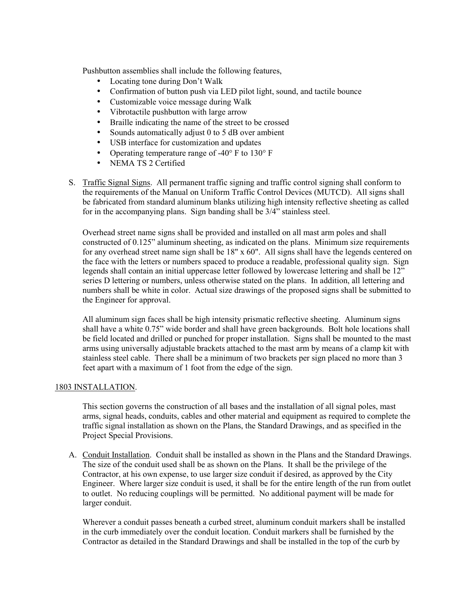Pushbutton assemblies shall include the following features,

- Locating tone during Don't Walk
- Confirmation of button push via LED pilot light, sound, and tactile bounce
- Customizable voice message during Walk
- Vibrotactile pushbutton with large arrow
- Braille indicating the name of the street to be crossed
- Sounds automatically adjust 0 to 5 dB over ambient
- USB interface for customization and updates
- Operating temperature range of -40 $\degree$  F to 130 $\degree$  F
- NEMA TS 2 Certified
- S. Traffic Signal Signs. All permanent traffic signing and traffic control signing shall conform to the requirements of the Manual on Uniform Traffic Control Devices (MUTCD). All signs shall be fabricated from standard aluminum blanks utilizing high intensity reflective sheeting as called for in the accompanying plans.Sign banding shall be 3/4" stainless steel.

Overhead street name signs shall be provided and installed on all mast arm poles and shall constructed of 0.125" aluminum sheeting, as indicated on the plans. Minimum size requirements for any overhead street name sign shall be  $18" \times 60"$ . All signs shall have the legends centered on the face with the letters or numbers spaced to produce a readable, professional quality sign. Sign legends shall contain an initial uppercase letter followed by lowercase lettering and shall be 12" series D lettering or numbers, unless otherwise stated on the plans. In addition, all lettering and numbers shall be white in color. Actual size drawings of the proposed signs shall be submitted to the Engineer for approval.

All aluminum sign faces shall be high intensity prismatic reflective sheeting. Aluminum signs shall have a white 0.75" wide border and shall have green backgrounds. Bolt hole locations shall be field located and drilled or punched for proper installation. Signs shall be mounted to the mast arms using universally adjustable brackets attached to the mast arm by means of a clamp kit with stainless steel cable. There shall be a minimum of two brackets per sign placed no more than 3 feet apart with a maximum of 1 foot from the edge of the sign.

## 1803 INSTALLATION.

This section governs the construction of all bases and the installation of all signal poles, mast arms, signal heads, conduits, cables and other material and equipment as required to complete the traffic signal installation as shown on the Plans, the Standard Drawings, and as specified in the Project Special Provisions.

A. Conduit Installation. Conduit shall be installed as shown in the Plans and the Standard Drawings. The size of the conduit used shall be as shown on the Plans. It shall be the privilege of the Contractor, at his own expense, to use larger size conduit if desired, as approved by the City Engineer. Where larger size conduit is used, it shall be for the entire length of the run from outlet to outlet. No reducing couplings will be permitted. No additional payment will be made for larger conduit.

Wherever a conduit passes beneath a curbed street, aluminum conduit markers shall be installed in the curb immediately over the conduit location. Conduit markers shall be furnished by the Contractor as detailed in the Standard Drawings and shall be installed in the top of the curb by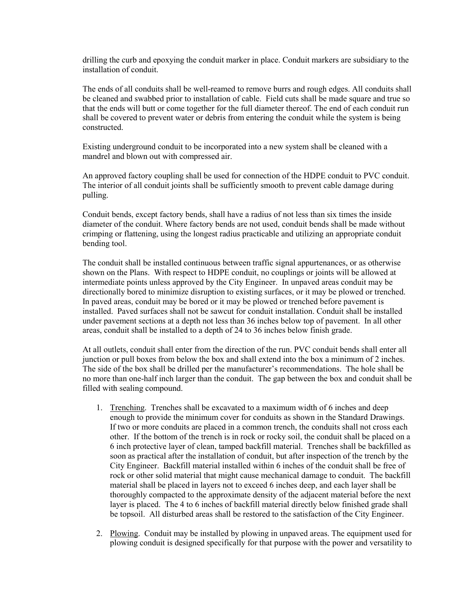drilling the curb and epoxying the conduit marker in place. Conduit markers are subsidiary to the installation of conduit.

The ends of all conduits shall be well-reamed to remove burrs and rough edges. All conduits shall be cleaned and swabbed prior to installation of cable. Field cuts shall be made square and true so that the ends will butt or come together for the full diameter thereof. The end of each conduit run shall be covered to prevent water or debris from entering the conduit while the system is being constructed.

Existing underground conduit to be incorporated into a new system shall be cleaned with a mandrel and blown out with compressed air.

An approved factory coupling shall be used for connection of the HDPE conduit to PVC conduit. The interior of all conduit joints shall be sufficiently smooth to prevent cable damage during pulling.

Conduit bends, except factory bends, shall have a radius of not less than six times the inside diameter of the conduit. Where factory bends are not used, conduit bends shall be made without crimping or flattening, using the longest radius practicable and utilizing an appropriate conduit bending tool.

The conduit shall be installed continuous between traffic signal appurtenances, or as otherwise shown on the Plans. With respect to HDPE conduit, no couplings or joints will be allowed at intermediate points unless approved by the City Engineer. In unpaved areas conduit may be directionally bored to minimize disruption to existing surfaces, or it may be plowed or trenched. In paved areas, conduit may be bored or it may be plowed or trenched before pavement is installed. Paved surfaces shall not be sawcut for conduit installation. Conduit shall be installed under pavement sections at a depth not less than 36 inches below top of pavement. In all other areas, conduit shall be installed to a depth of 24 to 36 inches below finish grade.

At all outlets, conduit shall enter from the direction of the run. PVC conduit bends shall enter all junction or pull boxes from below the box and shall extend into the box a minimum of 2 inches. The side of the box shall be drilled per the manufacturer's recommendations. The hole shall be no more than one-half inch larger than the conduit. The gap between the box and conduit shall be filled with sealing compound.

- 1. Trenching. Trenches shall be excavated to a maximum width of 6 inches and deep enough to provide the minimum cover for conduits as shown in the Standard Drawings. If two or more conduits are placed in a common trench, the conduits shall not cross each other. If the bottom of the trench is in rock or rocky soil, the conduit shall be placed on a 6 inch protective layer of clean, tamped backfill material. Trenches shall be backfilled as soon as practical after the installation of conduit, but after inspection of the trench by the City Engineer. Backfill material installed within 6 inches of the conduit shall be free of rock or other solid material that might cause mechanical damage to conduit. The backfill material shall be placed in layers not to exceed 6 inches deep, and each layer shall be thoroughly compacted to the approximate density of the adjacent material before the next layer is placed. The 4 to 6 inches of backfill material directly below finished grade shall be topsoil. All disturbed areas shall be restored to the satisfaction of the City Engineer.
- 2. Plowing. Conduit may be installed by plowing in unpaved areas. The equipment used for plowing conduit is designed specifically for that purpose with the power and versatility to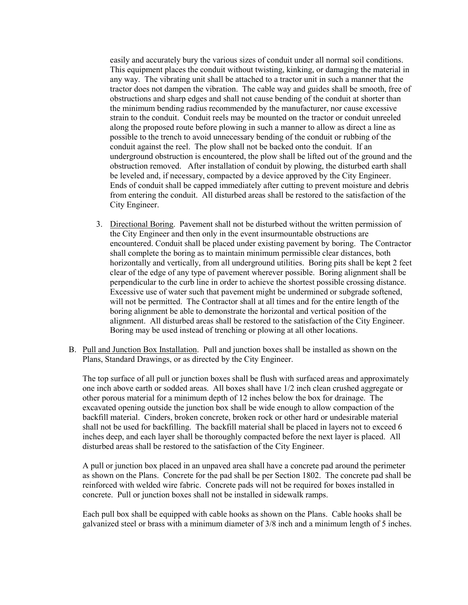easily and accurately bury the various sizes of conduit under all normal soil conditions. This equipment places the conduit without twisting, kinking, or damaging the material in any way. The vibrating unit shall be attached to a tractor unit in such a manner that the tractor does not dampen the vibration. The cable way and guides shall be smooth, free of obstructions and sharp edges and shall not cause bending of the conduit at shorter than the minimum bending radius recommended by the manufacturer, nor cause excessive strain to the conduit. Conduit reels may be mounted on the tractor or conduit unreeled along the proposed route before plowing in such a manner to allow as direct a line as possible to the trench to avoid unnecessary bending of the conduit or rubbing of the conduit against the reel. The plow shall not be backed onto the conduit. If an underground obstruction is encountered, the plow shall be lifted out of the ground and the obstruction removed. After installation of conduit by plowing, the disturbed earth shall be leveled and, if necessary, compacted by a device approved by the City Engineer. Ends of conduit shall be capped immediately after cutting to prevent moisture and debris from entering the conduit. All disturbed areas shall be restored to the satisfaction of the City Engineer.

- 3. Directional Boring. Pavement shall not be disturbed without the written permission of the City Engineer and then only in the event insurmountable obstructions are encountered. Conduit shall be placed under existing pavement by boring. The Contractor shall complete the boring as to maintain minimum permissible clear distances, both horizontally and vertically, from all underground utilities. Boring pits shall be kept 2 feet clear of the edge of any type of pavement wherever possible. Boring alignment shall be perpendicular to the curb line in order to achieve the shortest possible crossing distance. Excessive use of water such that pavement might be undermined or subgrade softened, will not be permitted. The Contractor shall at all times and for the entire length of the boring alignment be able to demonstrate the horizontal and vertical position of the alignment. All disturbed areas shall be restored to the satisfaction of the City Engineer. Boring may be used instead of trenching or plowing at all other locations.
- B. Pull and Junction Box Installation. Pull and junction boxes shall be installed as shown on the Plans, Standard Drawings, or as directed by the City Engineer.

The top surface of all pull or junction boxes shall be flush with surfaced areas and approximately one inch above earth or sodded areas. All boxes shall have 1/2 inch clean crushed aggregate or other porous material for a minimum depth of 12 inches below the box for drainage. The excavated opening outside the junction box shall be wide enough to allow compaction of the backfill material. Cinders, broken concrete, broken rock or other hard or undesirable material shall not be used for backfilling. The backfill material shall be placed in layers not to exceed 6 inches deep, and each layer shall be thoroughly compacted before the next layer is placed. All disturbed areas shall be restored to the satisfaction of the City Engineer.

A pull or junction box placed in an unpaved area shall have a concrete pad around the perimeter as shown on the Plans. Concrete for the pad shall be per Section 1802. The concrete pad shall be reinforced with welded wire fabric. Concrete pads will not be required for boxes installed in concrete. Pull or junction boxes shall not be installed in sidewalk ramps.

Each pull box shall be equipped with cable hooks as shown on the Plans. Cable hooks shall be galvanized steel or brass with a minimum diameter of 3/8 inch and a minimum length of 5 inches.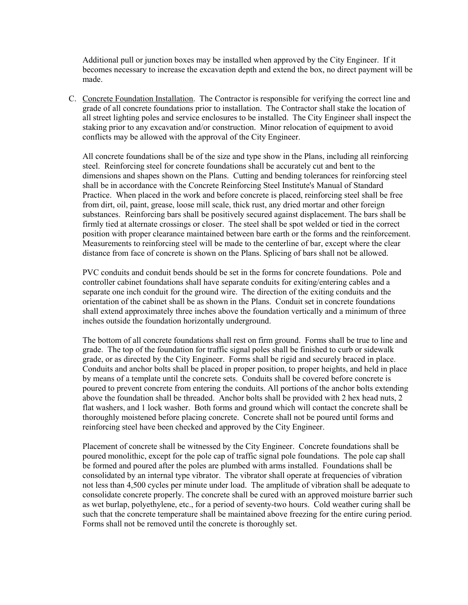Additional pull or junction boxes may be installed when approved by the City Engineer. If it becomes necessary to increase the excavation depth and extend the box, no direct payment will be made.

C. Concrete Foundation Installation. The Contractor is responsible for verifying the correct line and grade of all concrete foundations prior to installation. The Contractor shall stake the location of all street lighting poles and service enclosures to be installed. The City Engineer shall inspect the staking prior to any excavation and/or construction. Minor relocation of equipment to avoid conflicts may be allowed with the approval of the City Engineer.

All concrete foundations shall be of the size and type show in the Plans, including all reinforcing steel. Reinforcing steel for concrete foundations shall be accurately cut and bent to the dimensions and shapes shown on the Plans. Cutting and bending tolerances for reinforcing steel shall be in accordance with the Concrete Reinforcing Steel Institute's Manual of Standard Practice. When placed in the work and before concrete is placed, reinforcing steel shall be free from dirt, oil, paint, grease, loose mill scale, thick rust, any dried mortar and other foreign substances. Reinforcing bars shall be positively secured against displacement. The bars shall be firmly tied at alternate crossings or closer. The steel shall be spot welded or tied in the correct position with proper clearance maintained between bare earth or the forms and the reinforcement. Measurements to reinforcing steel will be made to the centerline of bar, except where the clear distance from face of concrete is shown on the Plans. Splicing of bars shall not be allowed.

PVC conduits and conduit bends should be set in the forms for concrete foundations. Pole and controller cabinet foundations shall have separate conduits for exiting/entering cables and a separate one inch conduit for the ground wire. The direction of the exiting conduits and the orientation of the cabinet shall be as shown in the Plans. Conduit set in concrete foundations shall extend approximately three inches above the foundation vertically and a minimum of three inches outside the foundation horizontally underground.

The bottom of all concrete foundations shall rest on firm ground. Forms shall be true to line and grade. The top of the foundation for traffic signal poles shall be finished to curb or sidewalk grade, or as directed by the City Engineer. Forms shall be rigid and securely braced in place. Conduits and anchor bolts shall be placed in proper position, to proper heights, and held in place by means of a template until the concrete sets. Conduits shall be covered before concrete is poured to prevent concrete from entering the conduits. All portions of the anchor bolts extending above the foundation shall be threaded. Anchor bolts shall be provided with 2 hex head nuts, 2 flat washers, and 1 lock washer. Both forms and ground which will contact the concrete shall be thoroughly moistened before placing concrete. Concrete shall not be poured until forms and reinforcing steel have been checked and approved by the City Engineer.

Placement of concrete shall be witnessed by the City Engineer. Concrete foundations shall be poured monolithic, except for the pole cap of traffic signal pole foundations. The pole cap shall be formed and poured after the poles are plumbed with arms installed. Foundations shall be consolidated by an internal type vibrator. The vibrator shall operate at frequencies of vibration not less than 4,500 cycles per minute under load. The amplitude of vibration shall be adequate to consolidate concrete properly. The concrete shall be cured with an approved moisture barrier such as wet burlap, polyethylene, etc., for a period of seventy-two hours. Cold weather curing shall be such that the concrete temperature shall be maintained above freezing for the entire curing period. Forms shall not be removed until the concrete is thoroughly set.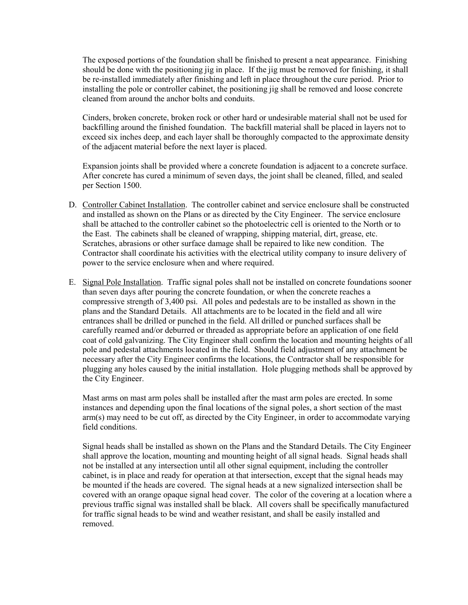The exposed portions of the foundation shall be finished to present a neat appearance. Finishing should be done with the positioning jig in place. If the jig must be removed for finishing, it shall be re-installed immediately after finishing and left in place throughout the cure period. Prior to installing the pole or controller cabinet, the positioning jig shall be removed and loose concrete cleaned from around the anchor bolts and conduits.

Cinders, broken concrete, broken rock or other hard or undesirable material shall not be used for backfilling around the finished foundation. The backfill material shall be placed in layers not to exceed six inches deep, and each layer shall be thoroughly compacted to the approximate density of the adjacent material before the next layer is placed.

Expansion joints shall be provided where a concrete foundation is adjacent to a concrete surface. After concrete has cured a minimum of seven days, the joint shall be cleaned, filled, and sealed per Section 1500.

- D. Controller Cabinet Installation. The controller cabinet and service enclosure shall be constructed and installed as shown on the Plans or as directed by the City Engineer. The service enclosure shall be attached to the controller cabinet so the photoelectric cell is oriented to the North or to the East. The cabinets shall be cleaned of wrapping, shipping material, dirt, grease, etc. Scratches, abrasions or other surface damage shall be repaired to like new condition. The Contractor shall coordinate his activities with the electrical utility company to insure delivery of power to the service enclosure when and where required.
- E. Signal Pole Installation. Traffic signal poles shall not be installed on concrete foundations sooner than seven days after pouring the concrete foundation, or when the concrete reaches a compressive strength of 3,400 psi. All poles and pedestals are to be installed as shown in the plans and the Standard Details. All attachments are to be located in the field and all wire entrances shall be drilled or punched in the field. All drilled or punched surfaces shall be carefully reamed and/or deburred or threaded as appropriate before an application of one field coat of cold galvanizing. The City Engineer shall confirm the location and mounting heights of all pole and pedestal attachments located in the field. Should field adjustment of any attachment be necessary after the City Engineer confirms the locations, the Contractor shall be responsible for plugging any holes caused by the initial installation. Hole plugging methods shall be approved by the City Engineer.

Mast arms on mast arm poles shall be installed after the mast arm poles are erected. In some instances and depending upon the final locations of the signal poles, a short section of the mast arm(s) may need to be cut off, as directed by the City Engineer, in order to accommodate varying field conditions.

Signal heads shall be installed as shown on the Plans and the Standard Details. The City Engineer shall approve the location, mounting and mounting height of all signal heads. Signal heads shall not be installed at any intersection until all other signal equipment, including the controller cabinet, is in place and ready for operation at that intersection, except that the signal heads may be mounted if the heads are covered. The signal heads at a new signalized intersection shall be covered with an orange opaque signal head cover. The color of the covering at a location where a previous traffic signal was installed shall be black. All covers shall be specifically manufactured for traffic signal heads to be wind and weather resistant, and shall be easily installed and removed.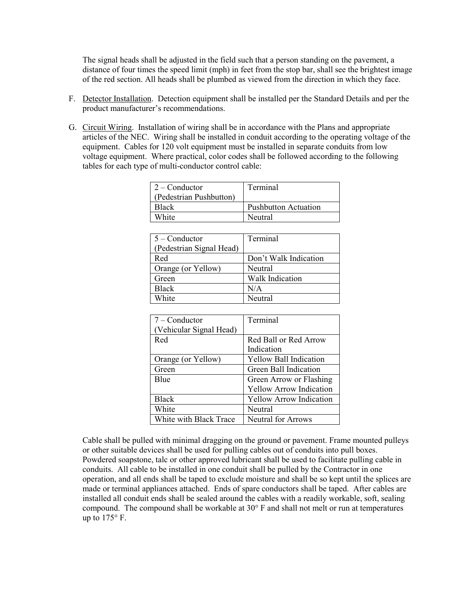The signal heads shall be adjusted in the field such that a person standing on the pavement, a distance of four times the speed limit (mph) in feet from the stop bar, shall see the brightest image of the red section. All heads shall be plumbed as viewed from the direction in which they face.

- F. Detector Installation. Detection equipment shall be installed per the Standard Details and per the product manufacturer's recommendations.
- G. Circuit Wiring. Installation of wiring shall be in accordance with the Plans and appropriate articles of the NEC. Wiring shall be installed in conduit according to the operating voltage of the equipment. Cables for 120 volt equipment must be installed in separate conduits from low voltage equipment. Where practical, color codes shall be followed according to the following tables for each type of multi-conductor control cable:

| $2$ – Conductor         | Terminal             |
|-------------------------|----------------------|
| (Pedestrian Pushbutton) |                      |
| <b>Black</b>            | Pushbutton Actuation |
| White                   | Neutral              |
|                         |                      |

| $5 -$ Conductor          | Terminal              |
|--------------------------|-----------------------|
| (Pedestrian Signal Head) |                       |
| Red                      | Don't Walk Indication |
| Orange (or Yellow)       | Neutral               |
| Green                    | Walk Indication       |
| <b>Black</b>             | N/A                   |
| White                    | Neutral               |

| $7$ – Conductor         | Terminal                       |
|-------------------------|--------------------------------|
| (Vehicular Signal Head) |                                |
| Red                     | Red Ball or Red Arrow          |
|                         | Indication                     |
| Orange (or Yellow)      | <b>Yellow Ball Indication</b>  |
| Green                   | Green Ball Indication          |
| <b>B</b> lue            | Green Arrow or Flashing        |
|                         | <b>Yellow Arrow Indication</b> |
| <b>Black</b>            | <b>Yellow Arrow Indication</b> |
| White                   | Neutral                        |
| White with Black Trace  | <b>Neutral for Arrows</b>      |

Cable shall be pulled with minimal dragging on the ground or pavement. Frame mounted pulleys or other suitable devices shall be used for pulling cables out of conduits into pull boxes. Powdered soapstone, talc or other approved lubricant shall be used to facilitate pulling cable in conduits. All cable to be installed in one conduit shall be pulled by the Contractor in one operation, and all ends shall be taped to exclude moisture and shall be so kept until the splices are made or terminal appliances attached. Ends of spare conductors shall be taped. After cables are installed all conduit ends shall be sealed around the cables with a readily workable, soft, sealing compound. The compound shall be workable at 30° F and shall not melt or run at temperatures up to  $175^\circ$  F.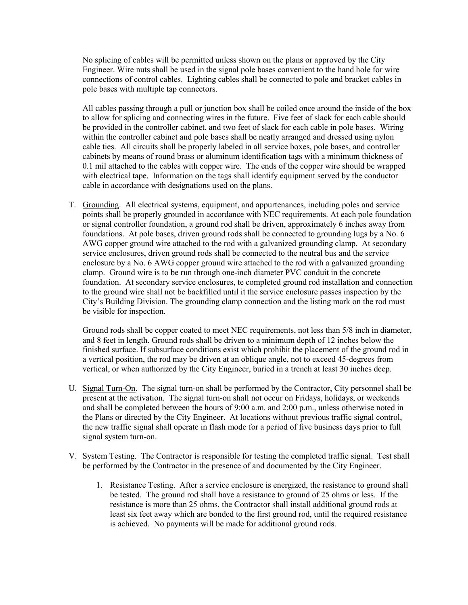No splicing of cables will be permitted unless shown on the plans or approved by the City Engineer. Wire nuts shall be used in the signal pole bases convenient to the hand hole for wire connections of control cables. Lighting cables shall be connected to pole and bracket cables in pole bases with multiple tap connectors.

All cables passing through a pull or junction box shall be coiled once around the inside of the box to allow for splicing and connecting wires in the future. Five feet of slack for each cable should be provided in the controller cabinet, and two feet of slack for each cable in pole bases. Wiring within the controller cabinet and pole bases shall be neatly arranged and dressed using nylon cable ties. All circuits shall be properly labeled in all service boxes, pole bases, and controller cabinets by means of round brass or aluminum identification tags with a minimum thickness of 0.1 mil attached to the cables with copper wire. The ends of the copper wire should be wrapped with electrical tape. Information on the tags shall identify equipment served by the conductor cable in accordance with designations used on the plans.

T. Grounding. All electrical systems, equipment, and appurtenances, including poles and service points shall be properly grounded in accordance with NEC requirements. At each pole foundation or signal controller foundation, a ground rod shall be driven, approximately 6 inches away from foundations. At pole bases, driven ground rods shall be connected to grounding lugs by a No. 6 AWG copper ground wire attached to the rod with a galvanized grounding clamp. At secondary service enclosures, driven ground rods shall be connected to the neutral bus and the service enclosure by a No. 6 AWG copper ground wire attached to the rod with a galvanized grounding clamp. Ground wire is to be run through one-inch diameter PVC conduit in the concrete foundation. At secondary service enclosures, te completed ground rod installation and connection to the ground wire shall not be backfilled until it the service enclosure passes inspection by the City's Building Division. The grounding clamp connection and the listing mark on the rod must be visible for inspection.

Ground rods shall be copper coated to meet NEC requirements, not less than 5/8 inch in diameter, and 8 feet in length. Ground rods shall be driven to a minimum depth of 12 inches below the finished surface. If subsurface conditions exist which prohibit the placement of the ground rod in a vertical position, the rod may be driven at an oblique angle, not to exceed 45-degrees from vertical, or when authorized by the City Engineer, buried in a trench at least 30 inches deep.

- U. Signal Turn-On. The signal turn-on shall be performed by the Contractor, City personnel shall be present at the activation. The signal turn-on shall not occur on Fridays, holidays, or weekends and shall be completed between the hours of 9:00 a.m. and 2:00 p.m., unless otherwise noted in the Plans or directed by the City Engineer. At locations without previous traffic signal control, the new traffic signal shall operate in flash mode for a period of five business days prior to full signal system turn-on.
- V. System Testing. The Contractor is responsible for testing the completed traffic signal. Test shall be performed by the Contractor in the presence of and documented by the City Engineer.
	- 1. Resistance Testing. After a service enclosure is energized, the resistance to ground shall be tested. The ground rod shall have a resistance to ground of 25 ohms or less. If the resistance is more than 25 ohms, the Contractor shall install additional ground rods at least six feet away which are bonded to the first ground rod, until the required resistance is achieved. No payments will be made for additional ground rods.